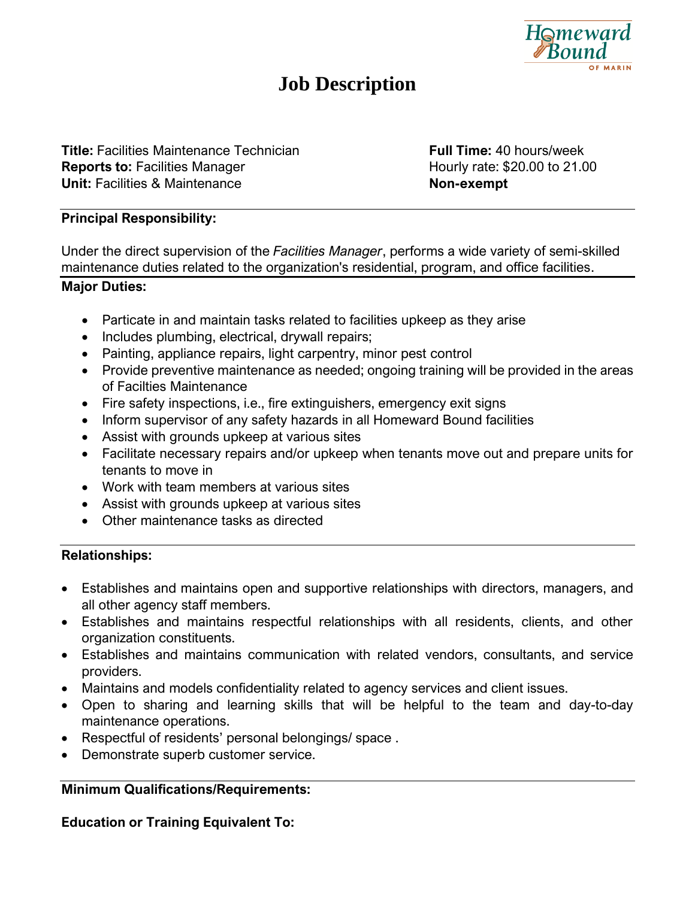

# **Job Description**

**Title:** Facilities Maintenance Technician **Full Time:** 40 hours/week **Reports to:** Facilities Manager **Hourly rate: \$20.00 to 21.00 Unit:** Facilities & Maintenance **Non-exempt** 

#### **Principal Responsibility:**

Under the direct supervision of the *Facilities Manager*, performs a wide variety of semi-skilled maintenance duties related to the organization's residential, program, and office facilities.

#### **Major Duties:**

- Particate in and maintain tasks related to facilities upkeep as they arise
- Includes plumbing, electrical, drywall repairs;
- Painting, appliance repairs, light carpentry, minor pest control
- Provide preventive maintenance as needed; ongoing training will be provided in the areas of Facilties Maintenance
- Fire safety inspections, i.e., fire extinguishers, emergency exit signs
- Inform supervisor of any safety hazards in all Homeward Bound facilities
- Assist with grounds upkeep at various sites
- Facilitate necessary repairs and/or upkeep when tenants move out and prepare units for tenants to move in
- Work with team members at various sites
- Assist with grounds upkeep at various sites
- Other maintenance tasks as directed

## **Relationships:**

- Establishes and maintains open and supportive relationships with directors, managers, and all other agency staff members.
- Establishes and maintains respectful relationships with all residents, clients, and other organization constituents.
- Establishes and maintains communication with related vendors, consultants, and service providers.
- Maintains and models confidentiality related to agency services and client issues.
- Open to sharing and learning skills that will be helpful to the team and day-to-day maintenance operations.
- Respectful of residents' personal belongings/ space .
- Demonstrate superb customer service.

## **Minimum Qualifications/Requirements:**

**Education or Training Equivalent To:**